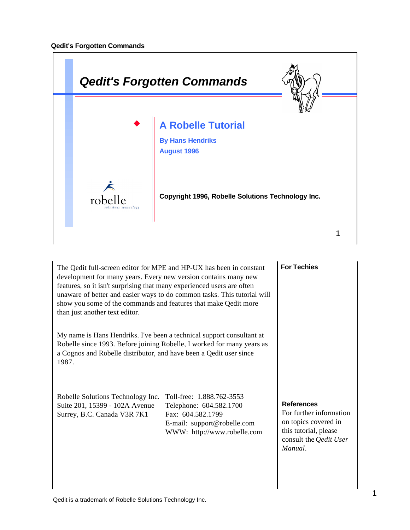

The Qedit full-screen editor for MPE and HP-UX has been in constant development for many years. Every new version contains many new features, so it isn't surprising that many experienced users are often unaware of better and easier ways to do common tasks. This tutorial will show you some of the commands and features that make Qedit more than just another text editor.

My name is Hans Hendriks. I've been a technical support consultant at Robelle since 1993. Before joining Robelle, I worked for many years as a Cognos and Robelle distributor, and have been a Qedit user since 1987.

Robelle Solutions Technology Inc. Toll-free: 1.888.762-3553 Suite 201, 15399 - 102A Avenue Telephone: 604.582.1700 Surrey, B.C. Canada V3R 7K1 Fax: 604.582.1799

E-mail: support@robelle.com WWW: http://www.robelle.com

#### **For Techies**

#### **References**

For further information on topics covered in this tutorial, please consult the *Qedit User Manual*.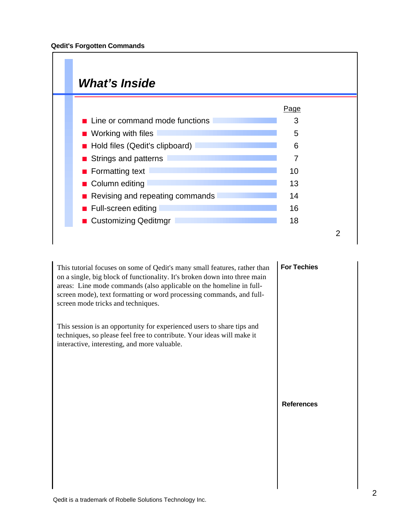## *What's Inside*

|                                   | Page |  |
|-----------------------------------|------|--|
| Line or command mode functions    | 3    |  |
| $\blacksquare$ Working with files | 5    |  |
| Hold files (Qedit's clipboard)    | 6    |  |
| ■ Strings and patterns            | 7    |  |
| $\blacksquare$ Formatting text    | 10   |  |
| ■ Column editing                  | 13   |  |
| Revising and repeating commands   | 14   |  |
| ■ Full-screen editing             | 16   |  |
| ■ Customizing Qeditmgr            | 18   |  |
|                                   |      |  |

This tutorial focuses on some of Qedit's many small features, rather than on a single, big block of functionality. It's broken down into three main areas: Line mode commands (also applicable on the homeline in fullscreen mode), text formatting or word processing commands, and fullscreen mode tricks and techniques.

This session is an opportunity for experienced users to share tips and techniques, so please feel free to contribute. Your ideas will make it interactive, interesting, and more valuable.

#### **For Techies**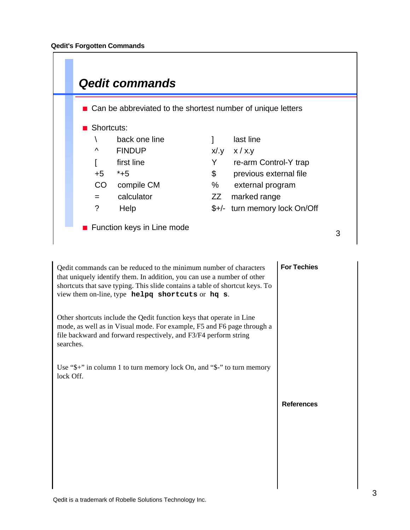

| Qedit commands can be reduced to the minimum number of characters<br>that uniquely identify them. In addition, you can use a number of other<br>shortcuts that save typing. This slide contains a table of shortcut keys. To<br>view them on-line, type helpq shortcuts or hq s. | <b>For Techies</b> |
|----------------------------------------------------------------------------------------------------------------------------------------------------------------------------------------------------------------------------------------------------------------------------------|--------------------|
| Other shortcuts include the Qedit function keys that operate in Line<br>mode, as well as in Visual mode. For example, F5 and F6 page through a<br>file backward and forward respectively, and F3/F4 perform string<br>searches.                                                  |                    |
| Use " $\frac{1}{2}$ ": in column 1 to turn memory lock On, and " $\frac{1}{2}$ " to turn memory<br>lock Off.                                                                                                                                                                     |                    |
|                                                                                                                                                                                                                                                                                  | <b>References</b>  |
|                                                                                                                                                                                                                                                                                  |                    |
|                                                                                                                                                                                                                                                                                  |                    |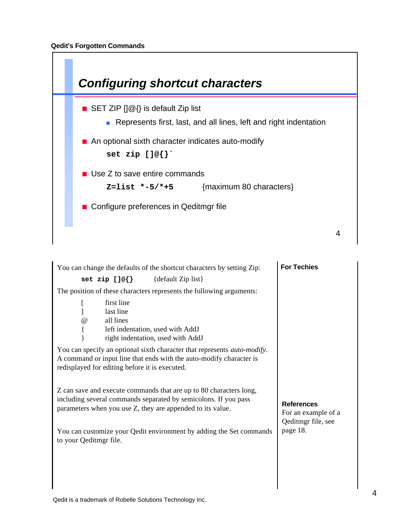

| You can change the defaults of the shortcut characters by setting Zip:                                                                                                                                    | <b>For Techies</b>                                             |
|-----------------------------------------------------------------------------------------------------------------------------------------------------------------------------------------------------------|----------------------------------------------------------------|
| set zip []@{} {default Zip list}                                                                                                                                                                          |                                                                |
| The position of these characters represents the following arguments:                                                                                                                                      |                                                                |
| first line<br>last line<br>all lines<br>$^{\,a}$<br>left indentation, used with AddJ<br>right indentation, used with AddJ                                                                                 |                                                                |
| You can specify an optional sixth character that represents <i>auto-modify</i> .<br>A command or input line that ends with the auto-modify character is<br>redisplayed for editing before it is executed. |                                                                |
| Z can save and execute commands that are up to 80 characters long,<br>including several commands separated by semicolons. If you pass<br>parameters when you use Z, they are appended to its value.       | <b>References</b><br>For an example of a<br>Qeditmgr file, see |
| You can customize your Qedit environment by adding the Set commands<br>to your Qeditmgr file.                                                                                                             | page 18.                                                       |
|                                                                                                                                                                                                           |                                                                |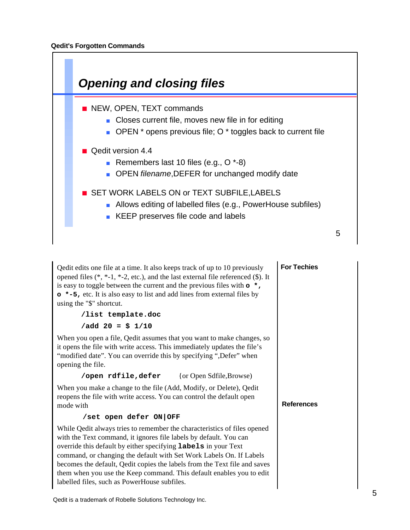

| Q edit edits one file at a time. It also keeps track of up to 10 previously<br>opened files $(*, *-1, *-2, etc.),$ and the last external file referenced $(\$)$ . It<br>is easy to toggle between the current and the previous files with $\circ *$ ,<br>• *-5, etc. It is also easy to list and add lines from external files by<br>using the "\$" shortcut.                                                                                                                                      | <b>For Techies</b> |
|----------------------------------------------------------------------------------------------------------------------------------------------------------------------------------------------------------------------------------------------------------------------------------------------------------------------------------------------------------------------------------------------------------------------------------------------------------------------------------------------------|--------------------|
| /list template.doc                                                                                                                                                                                                                                                                                                                                                                                                                                                                                 |                    |
| $\sqrt{add} 20 = $ 1/10$                                                                                                                                                                                                                                                                                                                                                                                                                                                                           |                    |
| When you open a file, Q edit assumes that you want to make changes, so<br>it opens the file with write access. This immediately updates the file's<br>"modified date". You can override this by specifying ", Defer" when<br>opening the file.                                                                                                                                                                                                                                                     |                    |
| /open rdfile, defer {or Open Sdfile, Browse}                                                                                                                                                                                                                                                                                                                                                                                                                                                       |                    |
| When you make a change to the file (Add, Modify, or Delete), Qedit<br>reopens the file with write access. You can control the default open<br>mode with                                                                                                                                                                                                                                                                                                                                            | <b>References</b>  |
| /set open defer ON OFF                                                                                                                                                                                                                                                                                                                                                                                                                                                                             |                    |
| While Qedit always tries to remember the characteristics of files opened<br>with the Text command, it ignores file labels by default. You can<br>override this default by either specifying <b>labels</b> in your Text<br>command, or changing the default with Set Work Labels On. If Labels<br>becomes the default, Qedit copies the labels from the Text file and saves<br>them when you use the Keep command. This default enables you to edit<br>labelled files, such as PowerHouse subfiles. |                    |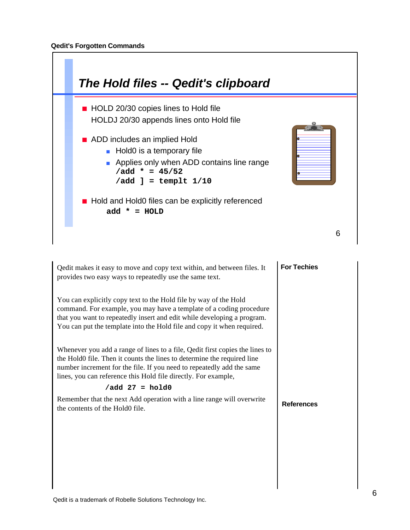

| Qedit makes it easy to move and copy text within, and between files. It<br>provides two easy ways to repeatedly use the same text.                                                                                                                                                                 | <b>For Techies</b> |
|----------------------------------------------------------------------------------------------------------------------------------------------------------------------------------------------------------------------------------------------------------------------------------------------------|--------------------|
| You can explicitly copy text to the Hold file by way of the Hold<br>command. For example, you may have a template of a coding procedure<br>that you want to repeatedly insert and edit while developing a program.<br>You can put the template into the Hold file and copy it when required.       |                    |
| Whenever you add a range of lines to a file, Qedit first copies the lines to<br>the Hold0 file. Then it counts the lines to determine the required line<br>number increment for the file. If you need to repeatedly add the same<br>lines, you can reference this Hold file directly. For example, |                    |
| $\sqrt{add}$ 27 = hold0                                                                                                                                                                                                                                                                            |                    |
| Remember that the next Add operation with a line range will overwrite<br>the contents of the Hold0 file.                                                                                                                                                                                           | <b>References</b>  |
|                                                                                                                                                                                                                                                                                                    |                    |
|                                                                                                                                                                                                                                                                                                    |                    |
|                                                                                                                                                                                                                                                                                                    |                    |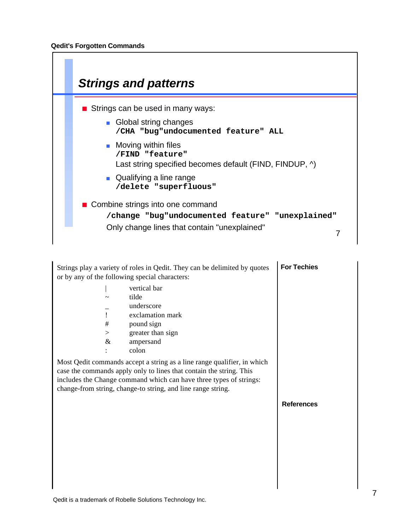

|           | Strings play a variety of roles in Qedit. They can be delimited by quotes<br>or by any of the following special characters:                                                                                                                                                                                | <b>For Techies</b> |
|-----------|------------------------------------------------------------------------------------------------------------------------------------------------------------------------------------------------------------------------------------------------------------------------------------------------------------|--------------------|
| $\#$<br>> | vertical bar<br>tilde<br>underscore<br>exclamation mark<br>pound sign<br>greater than sign                                                                                                                                                                                                                 |                    |
| $\&$      | ampersand<br>colon<br>Most Qedit commands accept a string as a line range qualifier, in which<br>case the commands apply only to lines that contain the string. This<br>includes the Change command which can have three types of strings:<br>change-from string, change-to string, and line range string. |                    |
|           |                                                                                                                                                                                                                                                                                                            | <b>References</b>  |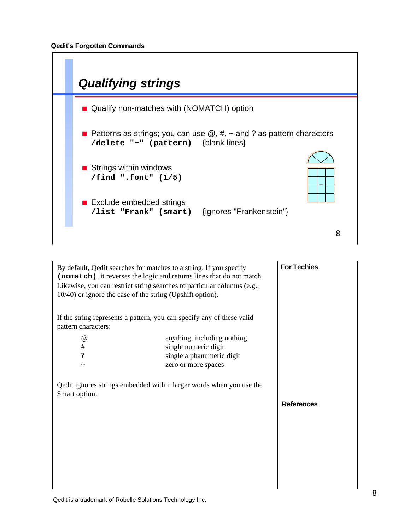

| By default, Qedit searches for matches to a string. If you specify<br>(nomatch), it reverses the logic and returns lines that do not match.<br>Likewise, you can restrict string searches to particular columns (e.g.,<br>10/40) or ignore the case of the string (Upshift option).<br>If the string represents a pattern, you can specify any of these valid<br>pattern characters: | <b>For Techies</b>          |  |
|--------------------------------------------------------------------------------------------------------------------------------------------------------------------------------------------------------------------------------------------------------------------------------------------------------------------------------------------------------------------------------------|-----------------------------|--|
| $^{\copyright}$                                                                                                                                                                                                                                                                                                                                                                      | anything, including nothing |  |
| #                                                                                                                                                                                                                                                                                                                                                                                    | single numeric digit        |  |
| ?                                                                                                                                                                                                                                                                                                                                                                                    | single alphanumeric digit   |  |
| ~                                                                                                                                                                                                                                                                                                                                                                                    | zero or more spaces         |  |
| Qedit ignores strings embedded within larger words when you use the<br>Smart option.                                                                                                                                                                                                                                                                                                 | <b>References</b>           |  |
|                                                                                                                                                                                                                                                                                                                                                                                      |                             |  |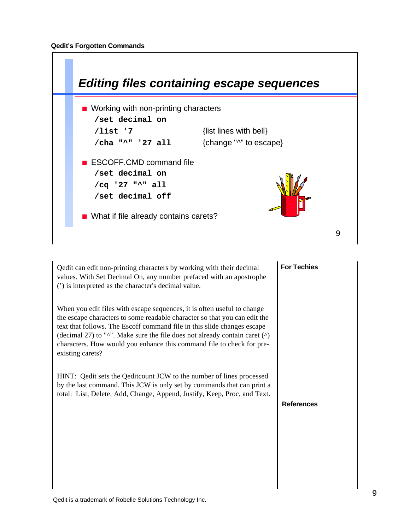

Qedit can edit non-printing characters by working with their decimal values. With Set Decimal On, any number prefaced with an apostrophe (') is interpreted as the character's decimal value.

When you edit files with escape sequences, it is often useful to change the escape characters to some readable character so that you can edit the text that follows. The Escoff command file in this slide changes escape (decimal 27) to " $\wedge$ ". Make sure the file does not already contain caret  $(\wedge)$ characters. How would you enhance this command file to check for preexisting carets?

HINT: Qedit sets the Qeditcount JCW to the number of lines processed by the last command. This JCW is only set by commands that can print a total: List, Delete, Add, Change, Append, Justify, Keep, Proc, and Text.

### **For Techies**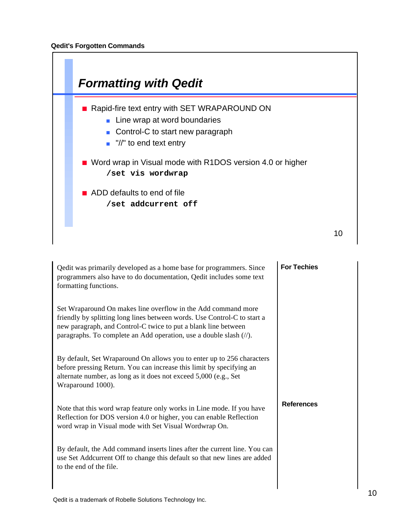

| Qedit was primarily developed as a home base for programmers. Since<br>programmers also have to do documentation, Qedit includes some text<br>formatting functions.                                                                                                                              | <b>For Techies</b> |
|--------------------------------------------------------------------------------------------------------------------------------------------------------------------------------------------------------------------------------------------------------------------------------------------------|--------------------|
| Set Wraparound On makes line overflow in the Add command more<br>friendly by splitting long lines between words. Use Control-C to start a<br>new paragraph, and Control-C twice to put a blank line between<br>paragraphs. To complete an Add operation, use a double slash $(\frac{1}{\ell})$ . |                    |
| By default, Set Wraparound On allows you to enter up to 256 characters<br>before pressing Return. You can increase this limit by specifying an<br>alternate number, as long as it does not exceed 5,000 (e.g., Set<br>Wraparound 1000).                                                          |                    |
| Note that this word wrap feature only works in Line mode. If you have<br>Reflection for DOS version 4.0 or higher, you can enable Reflection<br>word wrap in Visual mode with Set Visual Wordwrap On.                                                                                            | <b>References</b>  |
| By default, the Add command inserts lines after the current line. You can<br>use Set Addcurrent Off to change this default so that new lines are added<br>to the end of the file.                                                                                                                |                    |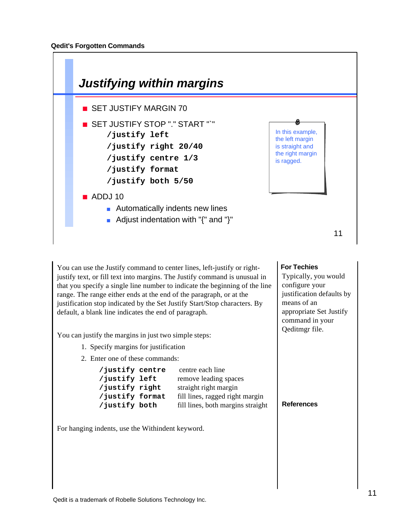

You can use the Justify command to center lines, left-justify or rightjustify text, or fill text into margins. The Justify command is unusual in that you specify a single line number to indicate the beginning of the line range. The range either ends at the end of the paragraph, or at the justification stop indicated by the Set Justify Start/Stop characters. By default, a blank line indicates the end of paragraph.

You can justify the margins in just two simple steps:

- 1. Specify margins for justification
- 2. Enter one of these commands:

| /justify centre | centre each line                  |
|-----------------|-----------------------------------|
| /justify left   | remove leading spaces             |
| /justify right  | straight right margin             |
| /justify format | fill lines, ragged right margin   |
| /justify both   | fill lines, both margins straight |

For hanging indents, use the Withindent keyword.

#### **For Techies**

Typically, you would configure your justification defaults by means of an appropriate Set Justify command in your Qeditmgr file.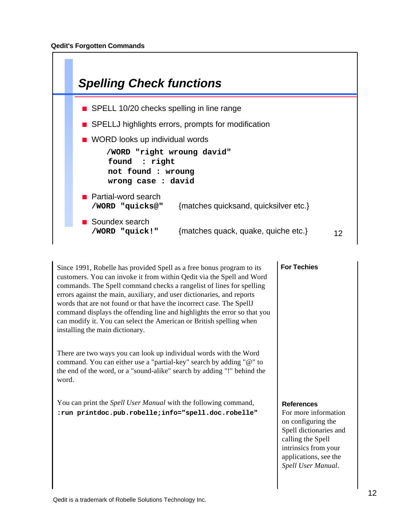

Since 1991, Robelle has provided Spell as a free bonus program to its customers. You can invoke it from within Qedit via the Spell and Word commands. The Spell command checks a rangelist of lines for spelling errors against the main, auxiliary, and user dictionaries, and reports words that are not found or that have the incorrect case. The SpellJ command displays the offending line and highlights the error so that you can modify it. You can select the American or British spelling when installing the main dictionary.

There are two ways you can look up individual words with the Word command. You can either use a "partial-key" search by adding "@" to the end of the word, or a "sound-alike" search by adding "!" behind the word.

You can print the *Spell User Manual* with the following command, **:run printdoc.pub.robelle;info="spell.doc.robelle"**

#### **For Techies**

#### **References**

For more information on configuring the Spell dictionaries and calling the Spell intrinsics from your applications, see the *Spell User Manual*.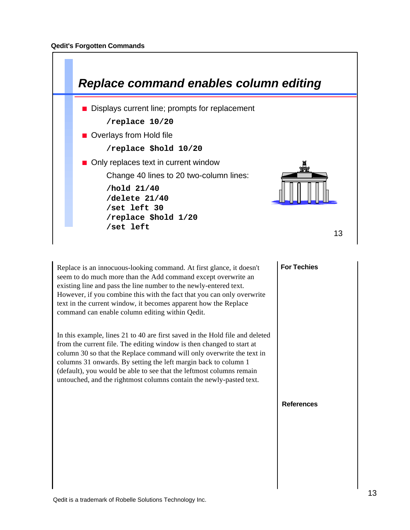

Replace is an innocuous-looking command. At first glance, it doesn't seem to do much more than the Add command except overwrite an existing line and pass the line number to the newly-entered text. However, if you combine this with the fact that you can only overwrite text in the current window, it becomes apparent how the Replace command can enable column editing within Qedit.

In this example, lines 21 to 40 are first saved in the Hold file and deleted from the current file. The editing window is then changed to start at column 30 so that the Replace command will only overwrite the text in columns 31 onwards. By setting the left margin back to column 1 (default), you would be able to see that the leftmost columns remain untouched, and the rightmost columns contain the newly-pasted text.

# **For Techies**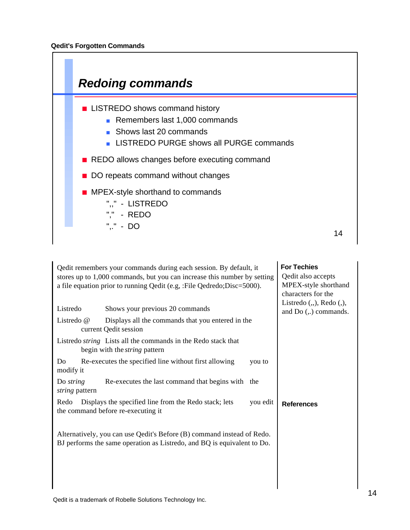

| Qedit remembers your commands during each session. By default, it<br>stores up to 1,000 commands, but you can increase this number by setting<br>a file equation prior to running Qedit (e.g. : File Qedredo; Disc=5000). | <b>For Techies</b><br>Qedit also accepts<br>MPEX-style shorthand<br>characters for the                                                            |        |                                                                 |
|---------------------------------------------------------------------------------------------------------------------------------------------------------------------------------------------------------------------------|---------------------------------------------------------------------------------------------------------------------------------------------------|--------|-----------------------------------------------------------------|
| Listredo                                                                                                                                                                                                                  | Shows your previous 20 commands                                                                                                                   |        | Listredo $($ , $)$ , Redo $($ , $)$ ,<br>and $Do(.,)$ commands. |
| Listredo @                                                                                                                                                                                                                | Displays all the commands that you entered in the<br>current Qedit session                                                                        |        |                                                                 |
|                                                                                                                                                                                                                           | Listredo <i>string</i> Lists all the commands in the Redo stack that<br>begin with the <i>string</i> pattern                                      |        |                                                                 |
| Do<br>modify it                                                                                                                                                                                                           | Re-executes the specified line without first allowing                                                                                             | you to |                                                                 |
| Do <i>string</i><br>string pattern                                                                                                                                                                                        | Re-executes the last command that begins with the                                                                                                 |        |                                                                 |
| Displays the specified line from the Redo stack; lets<br>you edit<br>Redo<br>the command before re-executing it                                                                                                           |                                                                                                                                                   |        | <b>References</b>                                               |
|                                                                                                                                                                                                                           | Alternatively, you can use Qedit's Before (B) command instead of Redo.<br>BJ performs the same operation as Listredo, and BQ is equivalent to Do. |        |                                                                 |
|                                                                                                                                                                                                                           |                                                                                                                                                   |        |                                                                 |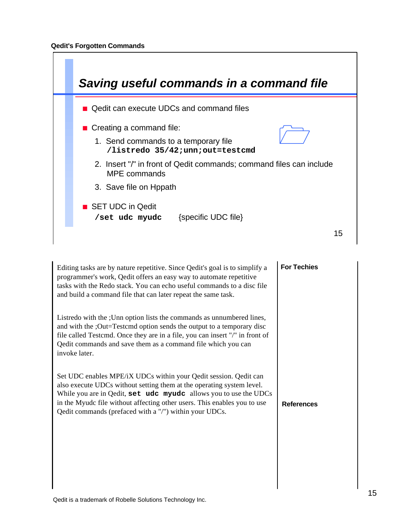

| Editing tasks are by nature repetitive. Since Qedit's goal is to simplify a<br>programmer's work, Qedit offers an easy way to automate repetitive<br>tasks with the Redo stack. You can echo useful commands to a disc file<br>and build a command file that can later repeat the same task.                                                        | <b>For Techies</b> |
|-----------------------------------------------------------------------------------------------------------------------------------------------------------------------------------------------------------------------------------------------------------------------------------------------------------------------------------------------------|--------------------|
| Listredo with the ; Unn option lists the commands as unnumbered lines,<br>and with the ;Out=Testemd option sends the output to a temporary disc<br>file called Testemd. Once they are in a file, you can insert "/" in front of<br>Qedit commands and save them as a command file which you can<br>invoke later.                                    |                    |
| Set UDC enables MPE/iX UDCs within your Qedit session. Qedit can<br>also execute UDCs without setting them at the operating system level.<br>While you are in Qedit, set udc myudc allows you to use the UDCs<br>in the Myudc file without affecting other users. This enables you to use<br>Qedit commands (prefaced with a "/") within your UDCs. | <b>References</b>  |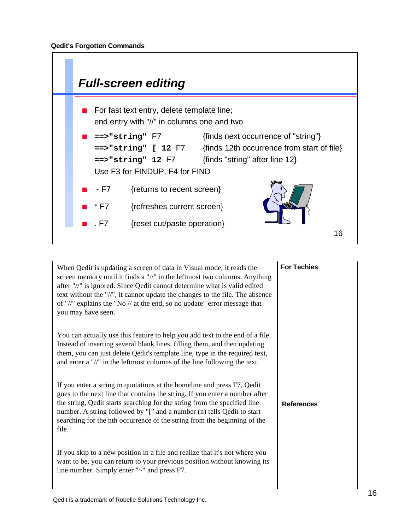

When Qedit is updating a screen of data in Visual mode, it reads the screen memory until it finds a "//" in the leftmost two columns. Anything after "//" is ignored. Since Qedit cannot determine what is valid edited text without the "//", it cannot update the changes to the file. The absence of "//" explains the "No // at the end, so no update" error message that you may have seen.

You can actually use this feature to help you add text to the end of a file. Instead of inserting several blank lines, filling them, and then updating them, you can just delete Qedit's template line, type in the required text, and enter a "//" in the leftmost columns of the line following the text.

If you enter a string in quotations at the homeline and press F7, Qedit goes to the next line that contains the string. If you enter a number after the string, Qedit starts searching for the string from the specified line number. A string followed by "[" and a number (n) tells Qedit to start searching for the nth occurrence of the string from the beginning of the file.

If you skip to a new position in a file and realize that it's not where you want to be, you can return to your previous position without knowing its line number. Simply enter "~" and press F7.

**For Techies**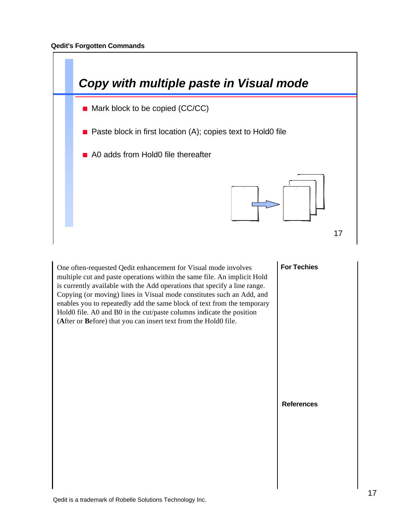

One often-requested Qedit enhancement for Visual mode involves multiple cut and paste operations within the same file. An implicit Hold is currently available with the Add operations that specify a line range. Copying (or moving) lines in Visual mode constitutes such an Add, and enables you to repeatedly add the same block of text from the temporary Hold0 file. A0 and B0 in the cut/paste columns indicate the position (**A**fter or **B**efore) that you can insert text from the Hold0 file.

#### **For Techies**